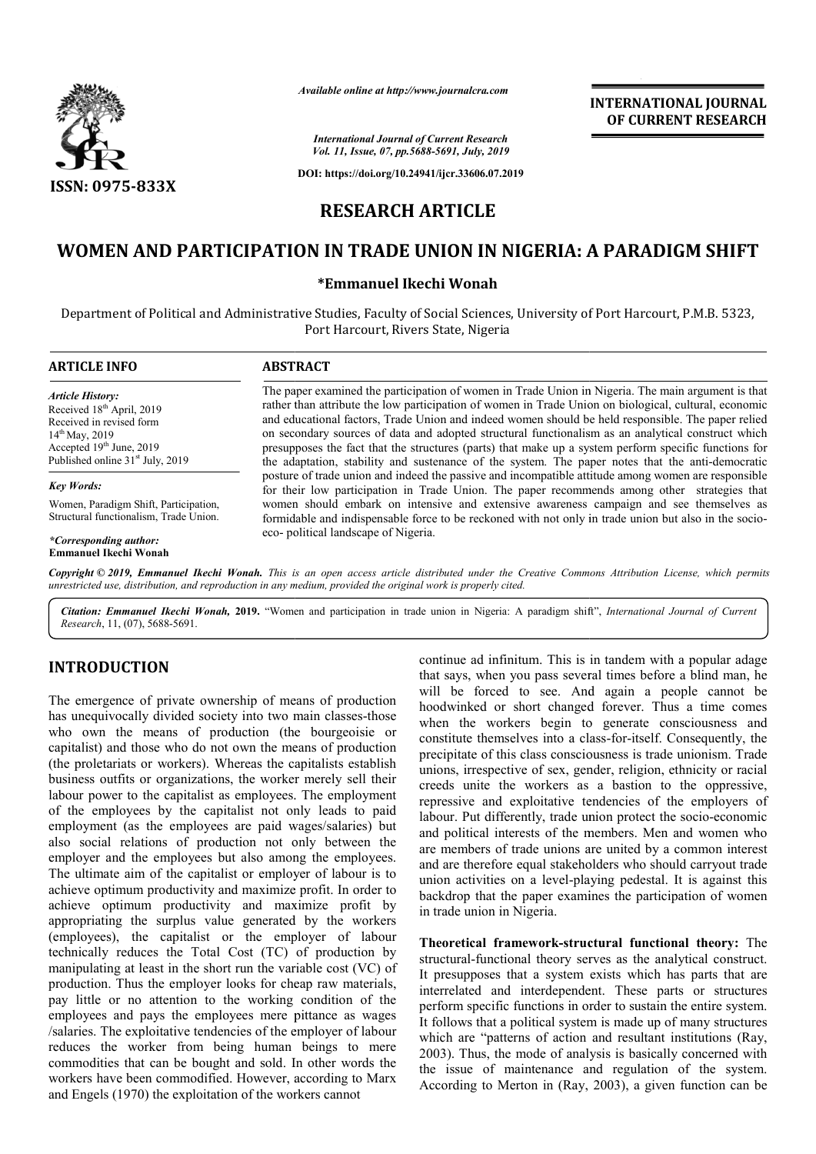

*Available online at http://www.journalcra.com*

*International Journal of Current Research Vol. 11, Issue, 07, pp.5688-5691, July, 2019*

**DOI: https://doi.org/10.24941/ijcr.33606.07.2019**

## **INTERNATIONAL JOURNAL OF CURRENT RESEARCH**

# **RESEARCH ARTICLE**

# WOMEN AND PARTICIPATION IN TRADE UNION IN NIGERIA: A PARADIGM SHIFT

### **\*Emmanuel Ikechi Wonah**

Department of Political and Administrative Studies, Faculty of Social Sciences, University of Port Harcourt, P.M.B. 5323, Port Harcourt, Rivers State, Nigeria

| <b>ARTICLE INFO</b>                                                                                                                                                                             | <b>ABSTRACT</b>                                                                                                                                                                                                                                                                                                                                                                                                                                                                                                                                                                                                                                                                                                                                                                                                                                                                                                                                                                                                                                                                        |
|-------------------------------------------------------------------------------------------------------------------------------------------------------------------------------------------------|----------------------------------------------------------------------------------------------------------------------------------------------------------------------------------------------------------------------------------------------------------------------------------------------------------------------------------------------------------------------------------------------------------------------------------------------------------------------------------------------------------------------------------------------------------------------------------------------------------------------------------------------------------------------------------------------------------------------------------------------------------------------------------------------------------------------------------------------------------------------------------------------------------------------------------------------------------------------------------------------------------------------------------------------------------------------------------------|
| <b>Article History:</b><br>Received 18 <sup>th</sup> April, 2019<br>Received in revised form<br>$14^{th}$ May, 2019<br>Accepted 19th June, 2019<br>Published online 31 <sup>st</sup> July, 2019 | The paper examined the participation of women in Trade Union in Nigeria. The main argument is that<br>rather than attribute the low participation of women in Trade Union on biological, cultural, economic<br>and educational factors. Trade Union and indeed women should be held responsible. The paper relied<br>on secondary sources of data and adopted structural functionalism as an analytical construct which<br>presupposes the fact that the structures (parts) that make up a system perform specific functions for<br>the adaptation, stability and sustenance of the system. The paper notes that the anti-democratic<br>posture of trade union and indeed the passive and incompatible attitude among women are responsible<br>for their low participation in Trade Union. The paper recommends among other strategies that<br>women should embark on intensive and extensive awareness campaign and see themselves as<br>formidable and indispensable force to be reckoned with not only in trade union but also in the socio-<br>eco-political landscape of Nigeria. |
| <b>Key Words:</b>                                                                                                                                                                               |                                                                                                                                                                                                                                                                                                                                                                                                                                                                                                                                                                                                                                                                                                                                                                                                                                                                                                                                                                                                                                                                                        |
| Women, Paradigm Shift, Participation,<br>Structural functionalism, Trade Union.                                                                                                                 |                                                                                                                                                                                                                                                                                                                                                                                                                                                                                                                                                                                                                                                                                                                                                                                                                                                                                                                                                                                                                                                                                        |
| *Corresponding author:<br><b>Emmanuel Ikechi Wonah</b>                                                                                                                                          |                                                                                                                                                                                                                                                                                                                                                                                                                                                                                                                                                                                                                                                                                                                                                                                                                                                                                                                                                                                                                                                                                        |

Copyright © 2019, Emmanuel Ikechi Wonah. This is an open access article distributed under the Creative Commons Attribution License, which permits *unrestricted use, distribution, and reproduction in any medium, provided the original work is properly cited.*

Citation: Emmanuel Ikechi Wonah, 2019. "Women and participation in trade union in Nigeria: A paradigm shift", International Journal of Current *Research*, 11, (07), 5688-5691.

## **INTRODUCTION**

The emergence of private ownership of means of production has unequivocally divided society into two main classes-those who own the means of production (the bourgeoisie or capitalist) and those who do not own the means of production (the proletariats or workers). Whereas the capitalists establish business outfits or organizations, the worker merely sell their labour power to the capitalist as employees. The employment of the employees by the capitalist not only leads to paid employment (as the employees are paid wages/salaries) but also social relations of production not only between the employer and the employees but also among the employees. The ultimate aim of the capitalist or employer of labour is to achieve optimum productivity and maximize profit. In order to achieve optimum productivity and maximize profit by appropriating the surplus value generated by the workers (employees), the capitalist or the employer of labour technically reduces the Total Cost (TC) of production by manipulating at least in the short run the variable cost (VC) of production. Thus the employer looks for cheap raw materials, pay little or no attention to the working condition of the employees and pays the employees mere pittance as wages /salaries. The exploitative tendencies of the employer of labour reduces the worker from being human beings to mere commodities that can be bought and sold. In other words the workers have been commodified. However, according to Marx and Engels (1970) the exploitation of the workers cannot , the worker merely sell their<br>employees. The employment<br>alist not only leads to paid<br>are paid wages/salaries) but<br>ction not only between the **NTRODUCTION**<br>
base and infinitum. This is in tandem with a popular sease when you has several times before a bind man, be<br>
the some any with the fored to see. And again a needpectant with some three continue with the fore

that says, when you pass several times before a blind man, he will be forced to see. And again a people cannot be hoodwinked or short changed forever. Thus a time comes when the workers begin to generate consciousness and constitute themselves into a class-for-itself. Consequently, the precipitate of this class consciousness is trade unionism. Trade unions, irrespective of sex, gender, religion, ethnicity or racial creeds unite the workers as a bastion to the oppressive, precipitate of this class consciousness is trade unionism. Trade unions, irrespective of sex, gender, religion, ethnicity or racial creeds unite the workers as a bastion to the oppressive, repressive and exploitative tende labour. Put differently, trade union protect the socio-economic and political interests of the members. Men and women who are members of trade unions are united by a common interest and are therefore equal stakeholders who should carryout trade union activities on a level-playing pedestal. It is against this backdrop that the paper examines the participation of women in trade union in Nigeria. infinitum. This is in tandem with a popular adage<br>hen you pass several times before a blind man, he<br>reed to see. And again a people cannot be<br>or short changed forever. Thus a time comes<br>workers begin to generate consciousn interests of the members. Men and women who of trade unions are united by a common interest or equal stakeholders who should carryout trade es on a level-playing pedestal. It is against this the paper examines the particip **EXERVATIONAL JOURNAL THEORATIONAL JOURNAL FORMAL FORMAL CONSTRANT CONSTRANT CONSTRANT CONSTRANT CONSTRANT CONSTRANT CONSTRANT CONSTRANT CONSTRANT CONSTRANT CONSTRANT CONSTRANT CONSTRANT CONSTRANT CONSTRANT CONSTRANT CONS** 

**Theoretical framework-structural functional theory:** The structural-functional theory serves as the analytical construct. It presupposes that a system exists which has parts that are interrelated and interdependent. These parts or structures perform specific functions in order to sustain the entire system. It follows that a political system is made up of many structures which are "patterns of action and resultant institutions (Ray, 2003). Thus, the mode of analysis is basically concerned with the issue of maintenance and regulation of the system. According to Merton in (Ray, 2003), a given function can be es that a system exists which has parts that are<br>and interdependent. These parts or structures<br>ific functions in order to sustain the entire system.<br>It a political system is made up of many structures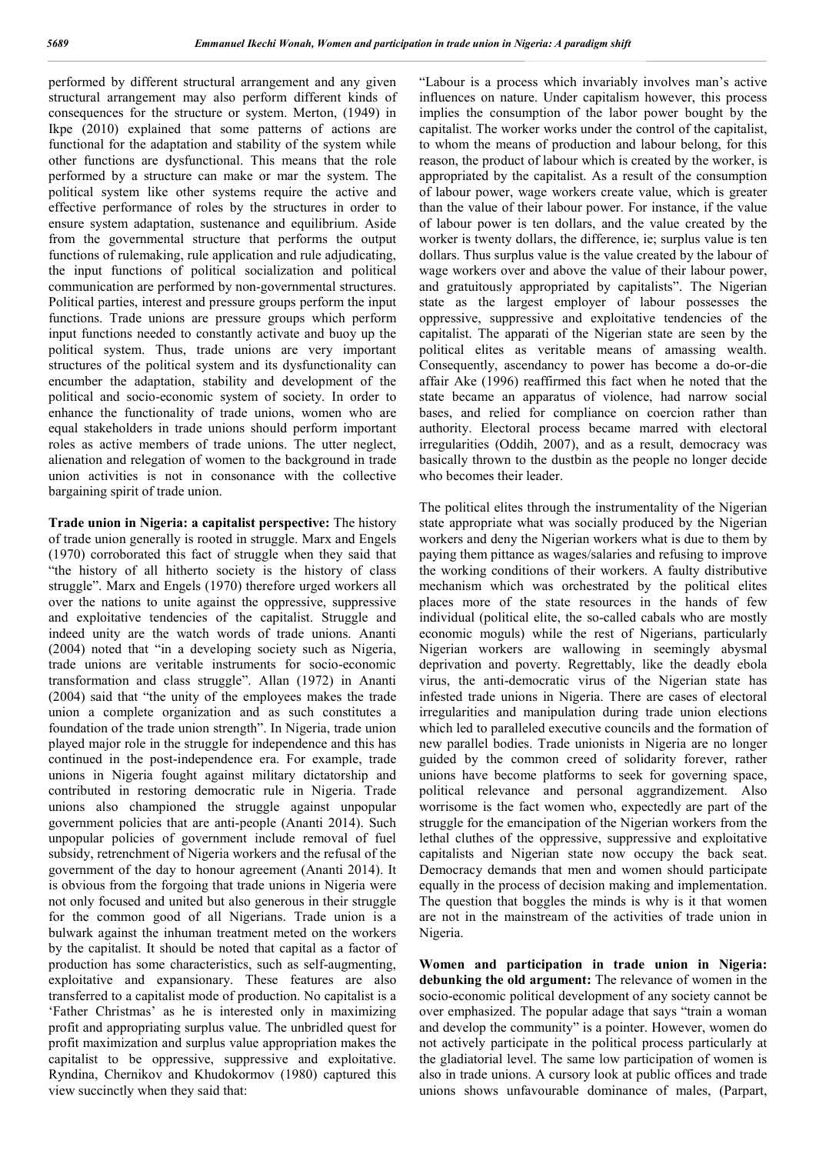performed by different structural arrangement and any given structural arrangement may also perform different kinds of consequences for the structure or system. Merton, (1949) in Ikpe (2010) explained that some patterns of actions are functional for the adaptation and stability of the system while other functions are dysfunctional. This means that the role performed by a structure can make or mar the system. The political system like other systems require the active and effective performance of roles by the structures in order to ensure system adaptation, sustenance and equilibrium. Aside from the governmental structure that performs the output functions of rulemaking, rule application and rule adjudicating, the input functions of political socialization and political communication are performed by non-governmental structures. Political parties, interest and pressure groups perform the input functions. Trade unions are pressure groups which perform input functions needed to constantly activate and buoy up the political system. Thus, trade unions are very important structures of the political system and its dysfunctionality can encumber the adaptation, stability and development of the political and socio-economic system of society. In order to enhance the functionality of trade unions, women who are equal stakeholders in trade unions should perform important roles as active members of trade unions. The utter neglect, alienation and relegation of women to the background in trade union activities is not in consonance with the collective bargaining spirit of trade union.

**Trade union in Nigeria: a capitalist perspective:** The history of trade union generally is rooted in struggle. Marx and Engels (1970) corroborated this fact of struggle when they said that "the history of all hitherto society is the history of class struggle". Marx and Engels (1970) therefore urged workers all over the nations to unite against the oppressive, suppressive and exploitative tendencies of the capitalist. Struggle and indeed unity are the watch words of trade unions. Ananti (2004) noted that "in a developing society such as Nigeria, trade unions are veritable instruments for socio-economic transformation and class struggle". Allan (1972) in Ananti (2004) said that "the unity of the employees makes the trade union a complete organization and as such constitutes a foundation of the trade union strength". In Nigeria, trade union played major role in the struggle for independence and this has continued in the post-independence era. For example, trade unions in Nigeria fought against military dictatorship and contributed in restoring democratic rule in Nigeria. Trade unions also championed the struggle against unpopular government policies that are anti-people (Ananti 2014). Such unpopular policies of government include removal of fuel subsidy, retrenchment of Nigeria workers and the refusal of the government of the day to honour agreement (Ananti 2014). It is obvious from the forgoing that trade unions in Nigeria were not only focused and united but also generous in their struggle for the common good of all Nigerians. Trade union is a bulwark against the inhuman treatment meted on the workers by the capitalist. It should be noted that capital as a factor of production has some characteristics, such as self-augmenting, exploitative and expansionary. These features are also transferred to a capitalist mode of production. No capitalist is a 'Father Christmas' as he is interested only in maximizing profit and appropriating surplus value. The unbridled quest for profit maximization and surplus value appropriation makes the capitalist to be oppressive, suppressive and exploitative. Ryndina, Chernikov and Khudokormov (1980) captured this view succinctly when they said that:

"Labour is a process which invariably involves man's active influences on nature. Under capitalism however, this process implies the consumption of the labor power bought by the capitalist. The worker works under the control of the capitalist, to whom the means of production and labour belong, for this reason, the product of labour which is created by the worker, is appropriated by the capitalist. As a result of the consumption of labour power, wage workers create value, which is greater than the value of their labour power. For instance, if the value of labour power is ten dollars, and the value created by the worker is twenty dollars, the difference, ie; surplus value is ten dollars. Thus surplus value is the value created by the labour of wage workers over and above the value of their labour power, and gratuitously appropriated by capitalists". The Nigerian state as the largest employer of labour possesses the oppressive, suppressive and exploitative tendencies of the capitalist. The apparati of the Nigerian state are seen by the political elites as veritable means of amassing wealth. Consequently, ascendancy to power has become a do-or-die affair Ake (1996) reaffirmed this fact when he noted that the state became an apparatus of violence, had narrow social bases, and relied for compliance on coercion rather than authority. Electoral process became marred with electoral irregularities (Oddih, 2007), and as a result, democracy was basically thrown to the dustbin as the people no longer decide who becomes their leader.

The political elites through the instrumentality of the Nigerian state appropriate what was socially produced by the Nigerian workers and deny the Nigerian workers what is due to them by paying them pittance as wages/salaries and refusing to improve the working conditions of their workers. A faulty distributive mechanism which was orchestrated by the political elites places more of the state resources in the hands of few individual (political elite, the so-called cabals who are mostly economic moguls) while the rest of Nigerians, particularly Nigerian workers are wallowing in seemingly abysmal deprivation and poverty. Regrettably, like the deadly ebola virus, the anti-democratic virus of the Nigerian state has infested trade unions in Nigeria. There are cases of electoral irregularities and manipulation during trade union elections which led to paralleled executive councils and the formation of new parallel bodies. Trade unionists in Nigeria are no longer guided by the common creed of solidarity forever, rather unions have become platforms to seek for governing space, political relevance and personal aggrandizement. Also worrisome is the fact women who, expectedly are part of the struggle for the emancipation of the Nigerian workers from the lethal cluthes of the oppressive, suppressive and exploitative capitalists and Nigerian state now occupy the back seat. Democracy demands that men and women should participate equally in the process of decision making and implementation. The question that boggles the minds is why is it that women are not in the mainstream of the activities of trade union in Nigeria.

**Women and participation in trade union in Nigeria: debunking the old argument:** The relevance of women in the socio-economic political development of any society cannot be over emphasized. The popular adage that says "train a woman and develop the community" is a pointer. However, women do not actively participate in the political process particularly at the gladiatorial level. The same low participation of women is also in trade unions. A cursory look at public offices and trade unions shows unfavourable dominance of males, (Parpart,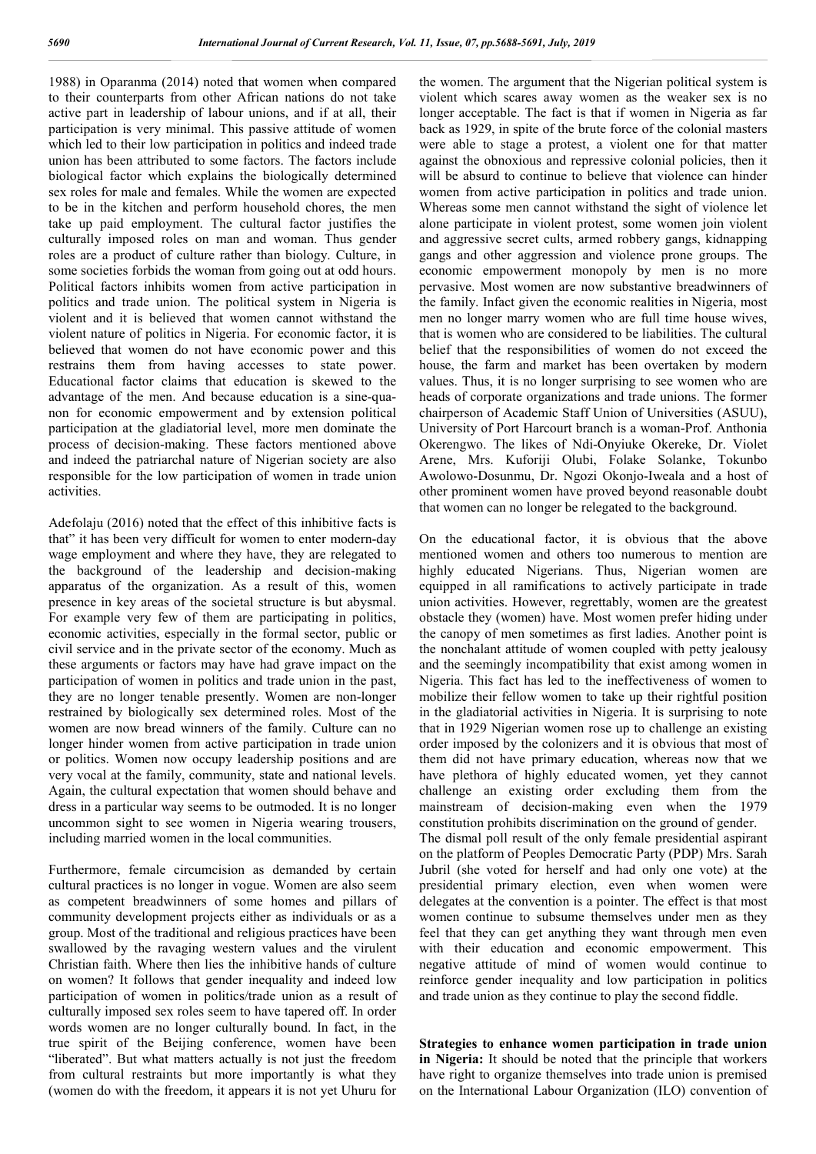1988) in Oparanma (2014) noted that women when compared to their counterparts from other African nations do not take active part in leadership of labour unions, and if at all, their participation is very minimal. This passive attitude of women which led to their low participation in politics and indeed trade union has been attributed to some factors. The factors include biological factor which explains the biologically determined sex roles for male and females. While the women are expected to be in the kitchen and perform household chores, the men take up paid employment. The cultural factor justifies the culturally imposed roles on man and woman. Thus gender roles are a product of culture rather than biology. Culture, in some societies forbids the woman from going out at odd hours. Political factors inhibits women from active participation in politics and trade union. The political system in Nigeria is violent and it is believed that women cannot withstand the violent nature of politics in Nigeria. For economic factor, it is believed that women do not have economic power and this restrains them from having accesses to state power. Educational factor claims that education is skewed to the advantage of the men. And because education is a sine-quanon for economic empowerment and by extension political participation at the gladiatorial level, more men dominate the process of decision-making. These factors mentioned above and indeed the patriarchal nature of Nigerian society are also responsible for the low participation of women in trade union activities.

Adefolaju (2016) noted that the effect of this inhibitive facts is that" it has been very difficult for women to enter modern-day wage employment and where they have, they are relegated to the background of the leadership and decision-making apparatus of the organization. As a result of this, women presence in key areas of the societal structure is but abysmal. For example very few of them are participating in politics, economic activities, especially in the formal sector, public or civil service and in the private sector of the economy. Much as these arguments or factors may have had grave impact on the participation of women in politics and trade union in the past, they are no longer tenable presently. Women are non-longer restrained by biologically sex determined roles. Most of the women are now bread winners of the family. Culture can no longer hinder women from active participation in trade union or politics. Women now occupy leadership positions and are very vocal at the family, community, state and national levels. Again, the cultural expectation that women should behave and dress in a particular way seems to be outmoded. It is no longer uncommon sight to see women in Nigeria wearing trousers, including married women in the local communities.

Furthermore, female circumcision as demanded by certain cultural practices is no longer in vogue. Women are also seem as competent breadwinners of some homes and pillars of community development projects either as individuals or as a group. Most of the traditional and religious practices have been swallowed by the ravaging western values and the virulent Christian faith. Where then lies the inhibitive hands of culture on women? It follows that gender inequality and indeed low participation of women in politics/trade union as a result of culturally imposed sex roles seem to have tapered off. In order words women are no longer culturally bound. In fact, in the true spirit of the Beijing conference, women have been "liberated". But what matters actually is not just the freedom from cultural restraints but more importantly is what they (women do with the freedom, it appears it is not yet Uhuru for

the women. The argument that the Nigerian political system is violent which scares away women as the weaker sex is no longer acceptable. The fact is that if women in Nigeria as far back as 1929, in spite of the brute force of the colonial masters were able to stage a protest, a violent one for that matter against the obnoxious and repressive colonial policies, then it will be absurd to continue to believe that violence can hinder women from active participation in politics and trade union. Whereas some men cannot withstand the sight of violence let alone participate in violent protest, some women join violent and aggressive secret cults, armed robbery gangs, kidnapping gangs and other aggression and violence prone groups. The economic empowerment monopoly by men is no more pervasive. Most women are now substantive breadwinners of the family. Infact given the economic realities in Nigeria, most men no longer marry women who are full time house wives, that is women who are considered to be liabilities. The cultural belief that the responsibilities of women do not exceed the house, the farm and market has been overtaken by modern values. Thus, it is no longer surprising to see women who are heads of corporate organizations and trade unions. The former chairperson of Academic Staff Union of Universities (ASUU), University of Port Harcourt branch is a woman-Prof. Anthonia Okerengwo. The likes of Ndi-Onyiuke Okereke, Dr. Violet Arene, Mrs. Kuforiji Olubi, Folake Solanke, Tokunbo Awolowo-Dosunmu, Dr. Ngozi Okonjo-Iweala and a host of other prominent women have proved beyond reasonable doubt that women can no longer be relegated to the background.

On the educational factor, it is obvious that the above mentioned women and others too numerous to mention are highly educated Nigerians. Thus, Nigerian women are equipped in all ramifications to actively participate in trade union activities. However, regrettably, women are the greatest obstacle they (women) have. Most women prefer hiding under the canopy of men sometimes as first ladies. Another point is the nonchalant attitude of women coupled with petty jealousy and the seemingly incompatibility that exist among women in Nigeria. This fact has led to the ineffectiveness of women to mobilize their fellow women to take up their rightful position in the gladiatorial activities in Nigeria. It is surprising to note that in 1929 Nigerian women rose up to challenge an existing order imposed by the colonizers and it is obvious that most of them did not have primary education, whereas now that we have plethora of highly educated women, yet they cannot challenge an existing order excluding them from the mainstream of decision-making even when the 1979 constitution prohibits discrimination on the ground of gender. The dismal poll result of the only female presidential aspirant on the platform of Peoples Democratic Party (PDP) Mrs. Sarah Jubril (she voted for herself and had only one vote) at the presidential primary election, even when women were delegates at the convention is a pointer. The effect is that most women continue to subsume themselves under men as they feel that they can get anything they want through men even with their education and economic empowerment. This negative attitude of mind of women would continue to reinforce gender inequality and low participation in politics and trade union as they continue to play the second fiddle.

**Strategies to enhance women participation in trade union in Nigeria:** It should be noted that the principle that workers have right to organize themselves into trade union is premised on the International Labour Organization (ILO) convention of